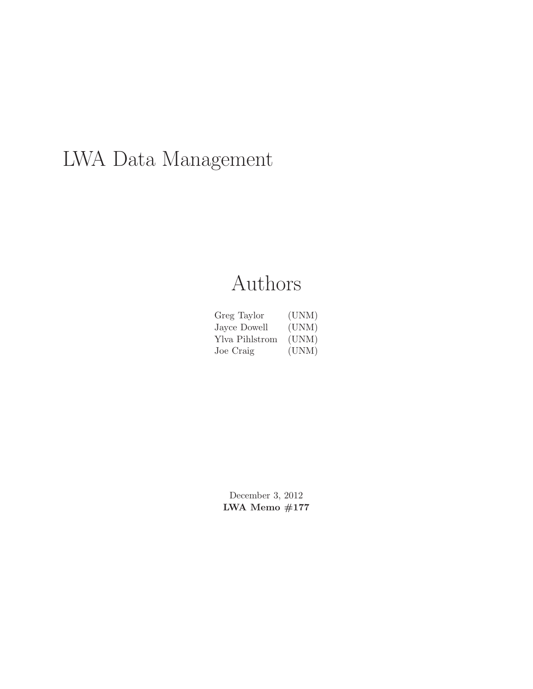# LWA Data Management

# Authors

| Greg Taylor    | (UNM) |
|----------------|-------|
| Jayce Dowell   | (UNM) |
| Ylva Pihlstrom | (UNM) |
| Joe Craig      | (UNM) |

December 3, 2012 LWA Memo $\#177$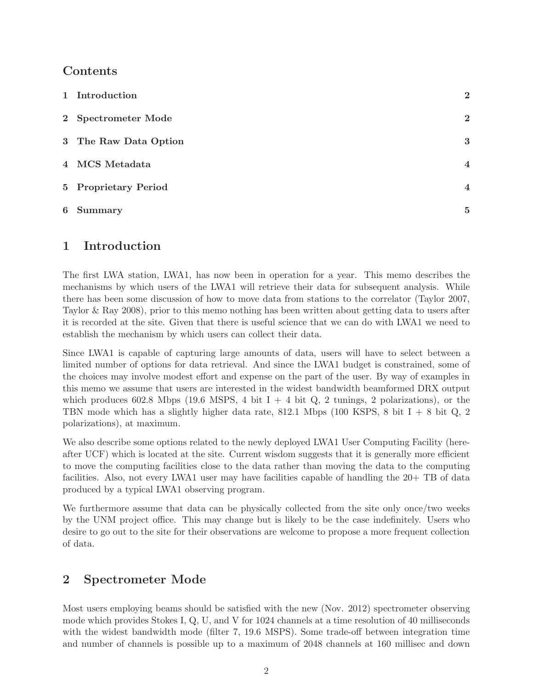## Contents

| 1 Introduction        | $\bf{2}$       |
|-----------------------|----------------|
| 2 Spectrometer Mode   | $\overline{2}$ |
| 3 The Raw Data Option | 3              |
| 4 MCS Metadata        | $\overline{4}$ |
| 5 Proprietary Period  | $\overline{4}$ |
| 6 Summary             | 5              |

## 1 Introduction

The first LWA station, LWA1, has now been in operation for a year. This memo describes the mechanisms by which users of the LWA1 will retrieve their data for subsequent analysis. While there has been some discussion of how to move data from stations to the correlator (Taylor 2007, Taylor & Ray 2008), prior to this memo nothing has been written about getting data to users after it is recorded at the site. Given that there is useful science that we can do with LWA1 we need to establish the mechanism by which users can collect their data.

Since LWA1 is capable of capturing large amounts of data, users will have to select between a limited number of options for data retrieval. And since the LWA1 budget is constrained, some of the choices may involve modest effort and expense on the part of the user. By way of examples in this memo we assume that users are interested in the widest bandwidth beamformed DRX output which produces 602.8 Mbps (19.6 MSPS, 4 bit  $I + 4$  bit  $Q$ , 2 tunings, 2 polarizations), or the TBN mode which has a slightly higher data rate, 812.1 Mbps (100 KSPS, 8 bit I + 8 bit Q, 2 polarizations), at maximum.

We also describe some options related to the newly deployed LWA1 User Computing Facility (hereafter UCF) which is located at the site. Current wisdom suggests that it is generally more efficient to move the computing facilities close to the data rather than moving the data to the computing facilities. Also, not every LWA1 user may have facilities capable of handling the 20+ TB of data produced by a typical LWA1 observing program.

We furthermore assume that data can be physically collected from the site only once/two weeks by the UNM project office. This may change but is likely to be the case indefinitely. Users who desire to go out to the site for their observations are welcome to propose a more frequent collection of data.

# 2 Spectrometer Mode

Most users employing beams should be satisfied with the new (Nov. 2012) spectrometer observing mode which provides Stokes I, Q, U, and V for 1024 channels at a time resolution of 40 milliseconds with the widest bandwidth mode (filter 7, 19.6 MSPS). Some trade-off between integration time and number of channels is possible up to a maximum of 2048 channels at 160 millisec and down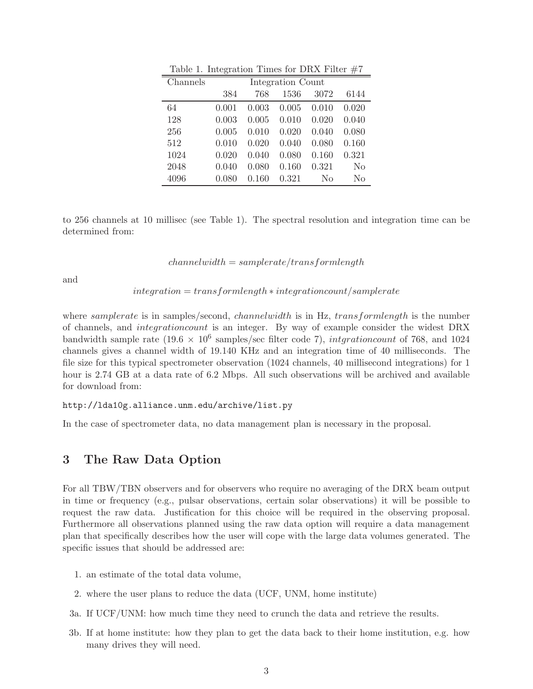| Channels | Integration Count |       |       |                |       |
|----------|-------------------|-------|-------|----------------|-------|
|          | 384               | 768   | 1536  | 3072           | 6144  |
| 64       | 0.001             | 0.003 | 0.005 | 0.010          | 0.020 |
| 128      | 0.003             | 0.005 | 0.010 | 0.020          | 0.040 |
| 256      | 0.005             | 0.010 | 0.020 | 0.040          | 0.080 |
| 512      | 0.010             | 0.020 | 0.040 | 0.080          | 0.160 |
| 1024     | 0.020             | 0.040 | 0.080 | 0.160          | 0.321 |
| 2048     | 0.040             | 0.080 | 0.160 | 0.321          | No    |
| 4096     | 0.080             | 0.160 | 0.321 | N <sub>0</sub> | No    |

Table 1. Integration Times for DRX Filter  $#7$ 

to 256 channels at 10 millisec (see Table 1). The spectral resolution and integration time can be determined from:

 $channelwidth = sample rate/transfer$ 

and

 $integration = transformlength * integration count/samphere$ 

where *samplerate* is in samples/second, *channelwidth* is in Hz, *transformlength* is the number of channels, and integrationcount is an integer. By way of example consider the widest DRX bandwidth sample rate  $(19.6 \times 10^6 \text{ samples/sec filter code 7}),$  intgrationcount of 768, and 1024 channels gives a channel width of 19.140 KHz and an integration time of 40 milliseconds. The file size for this typical spectrometer observation (1024 channels, 40 millisecond integrations) for 1 hour is 2.74 GB at a data rate of 6.2 Mbps. All such observations will be archived and available for download from:

```
http://lda10g.alliance.unm.edu/archive/list.py
```
In the case of spectrometer data, no data management plan is necessary in the proposal.

#### 3 The Raw Data Option

For all TBW/TBN observers and for observers who require no averaging of the DRX beam output in time or frequency (e.g., pulsar observations, certain solar observations) it will be possible to request the raw data. Justification for this choice will be required in the observing proposal. Furthermore all observations planned using the raw data option will require a data management plan that specifically describes how the user will cope with the large data volumes generated. The specific issues that should be addressed are:

- 1. an estimate of the total data volume,
- 2. where the user plans to reduce the data (UCF, UNM, home institute)
- 3a. If UCF/UNM: how much time they need to crunch the data and retrieve the results.
- 3b. If at home institute: how they plan to get the data back to their home institution, e.g. how many drives they will need.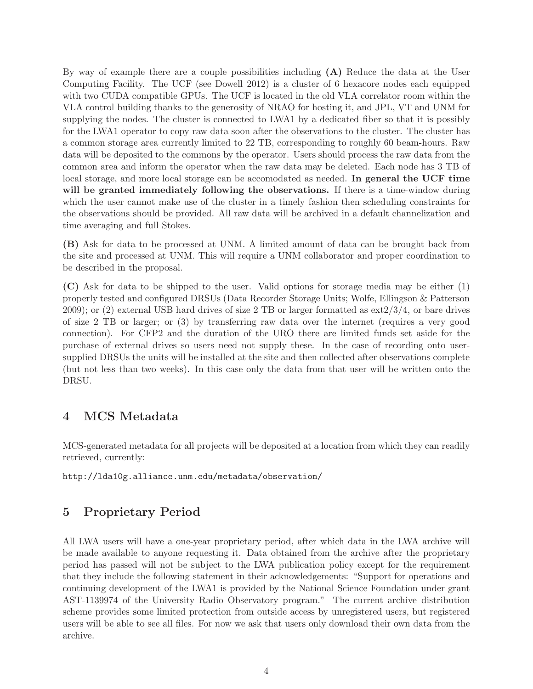By way of example there are a couple possibilities including  $(A)$  Reduce the data at the User Computing Facility. The UCF (see Dowell 2012) is a cluster of 6 hexacore nodes each equipped with two CUDA compatible GPUs. The UCF is located in the old VLA correlator room within the VLA control building thanks to the generosity of NRAO for hosting it, and JPL, VT and UNM for supplying the nodes. The cluster is connected to LWA1 by a dedicated fiber so that it is possibly for the LWA1 operator to copy raw data soon after the observations to the cluster. The cluster has a common storage area currently limited to 22 TB, corresponding to roughly 60 beam-hours. Raw data will be deposited to the commons by the operator. Users should process the raw data from the common area and inform the operator when the raw data may be deleted. Each node has 3 TB of local storage, and more local storage can be accomodated as needed. In general the UCF time will be granted immediately following the observations. If there is a time-window during which the user cannot make use of the cluster in a timely fashion then scheduling constraints for the observations should be provided. All raw data will be archived in a default channelization and time averaging and full Stokes.

(B) Ask for data to be processed at UNM. A limited amount of data can be brought back from the site and processed at UNM. This will require a UNM collaborator and proper coordination to be described in the proposal.

(C) Ask for data to be shipped to the user. Valid options for storage media may be either (1) properly tested and configured DRSUs (Data Recorder Storage Units; Wolfe, Ellingson & Patterson 2009); or (2) external USB hard drives of size 2 TB or larger formatted as  $ext{2/3/4}$ , or bare drives of size 2 TB or larger; or (3) by transferring raw data over the internet (requires a very good connection). For CFP2 and the duration of the URO there are limited funds set aside for the purchase of external drives so users need not supply these. In the case of recording onto usersupplied DRSUs the units will be installed at the site and then collected after observations complete (but not less than two weeks). In this case only the data from that user will be written onto the DRSU.

# 4 MCS Metadata

MCS-generated metadata for all projects will be deposited at a location from which they can readily retrieved, currently:

http://lda10g.alliance.unm.edu/metadata/observation/

# 5 Proprietary Period

All LWA users will have a one-year proprietary period, after which data in the LWA archive will be made available to anyone requesting it. Data obtained from the archive after the proprietary period has passed will not be subject to the LWA publication policy except for the requirement that they include the following statement in their acknowledgements: "Support for operations and continuing development of the LWA1 is provided by the National Science Foundation under grant AST-1139974 of the University Radio Observatory program." The current archive distribution scheme provides some limited protection from outside access by unregistered users, but registered users will be able to see all files. For now we ask that users only download their own data from the archive.